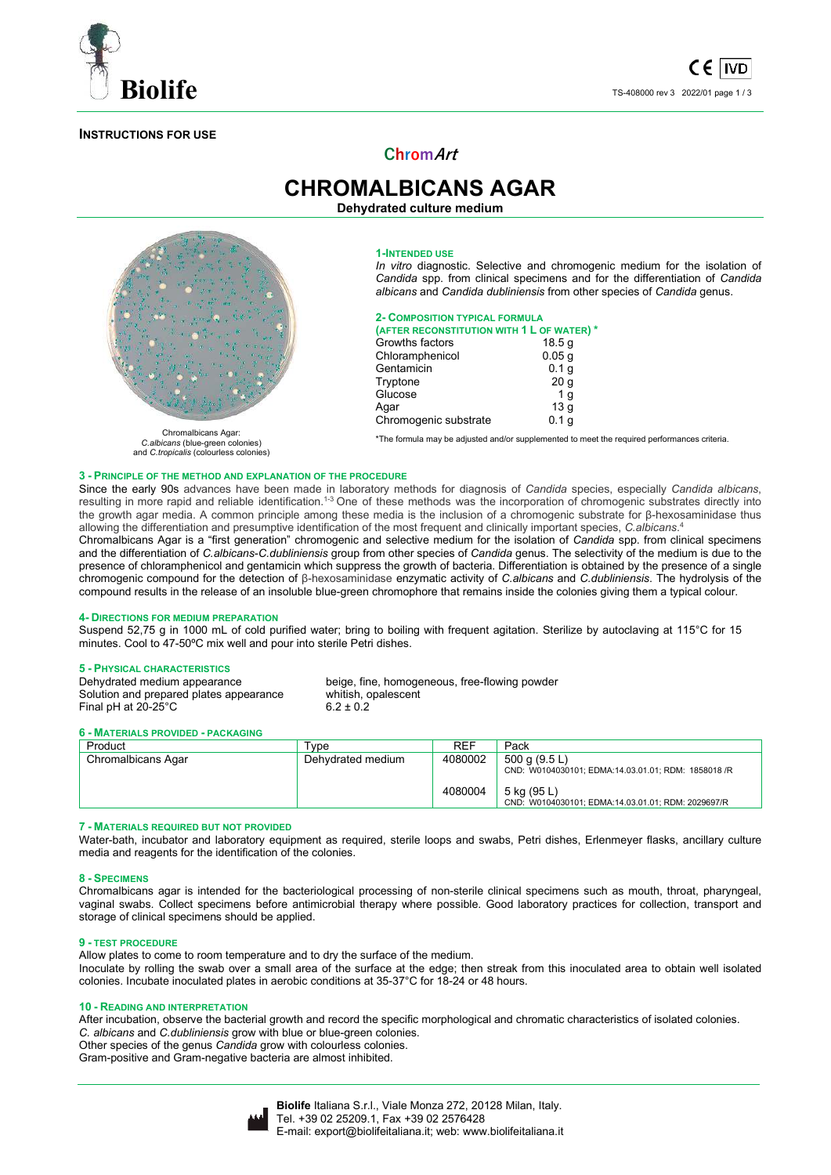

### **INSTRUCTIONS FOR USE**



**CHROMALBICANS AGAR Dehydrated culture medium** 



Chromalbicans Agar: *C.albicans* (blue-green colonies) and *C.tropicalis* (colourless colonies)

#### **1-INTENDED USE**

*In vitro* diagnostic. Selective and chromogenic medium for the isolation of *Candida* spp. from clinical specimens and for the differentiation of *Candida albicans* and *Candida dubliniensis* from other species of *Candida* genus.

## **2- COMPOSITION TYPICAL FORMULA**

| (AFTER RECONSTITUTION WITH 1 L OF WATER) * |                   |  |  |  |  |
|--------------------------------------------|-------------------|--|--|--|--|
| Growths factors                            | 18.5q             |  |  |  |  |
| Chloramphenicol                            | 0.05 <sub>g</sub> |  |  |  |  |
| Gentamicin                                 | 0.1 <sub>g</sub>  |  |  |  |  |
| Tryptone                                   | 20 <sub>g</sub>   |  |  |  |  |
| Glucose                                    | 1 <sub>q</sub>    |  |  |  |  |
| Agar                                       | 13q               |  |  |  |  |
| Chromogenic substrate                      | 0.1 <sub>q</sub>  |  |  |  |  |

\*The formula may be adjusted and/or supplemented to meet the required performances criteria.

#### **3 - PRINCIPLE OF THE METHOD AND EXPLANATION OF THE PROCEDURE**

Since the early 90s advances have been made in laboratory methods for diagnosis of *Candida* species, especially *Candida albicans*, resulting in more rapid and reliable identification.<sup>1-3</sup> One of these methods was the incorporation of chromogenic substrates directly into the growth agar media. A common principle among these media is the inclusion of a chromogenic substrate for β-hexosaminidase thus allowing the differentiation and presumptive identification of the most frequent and clinically important species, *C.albicans*. 4

Chromalbicans Agar is a "first generation" chromogenic and selective medium for the isolation of *Candida* spp. from clinical specimens and the differentiation of *C.albicans*-*C.dubliniensis* group from other species of *Candida* genus. The selectivity of the medium is due to the presence of chloramphenicol and gentamicin which suppress the growth of bacteria. Differentiation is obtained by the presence of a single chromogenic compound for the detection of β-hexosaminidase enzymatic activity of *C.albicans* and *C.dubliniensis*. The hydrolysis of the compound results in the release of an insoluble blue-green chromophore that remains inside the colonies giving them a typical colour.

#### **4- DIRECTIONS FOR MEDIUM PREPARATION**

Suspend 52,75 g in 1000 mL of cold purified water; bring to boiling with frequent agitation. Sterilize by autoclaving at 115°C for 15 minutes. Cool to 47-50ºC mix well and pour into sterile Petri dishes.

# **5 - PHYSICAL CHARACTERISTICS**

Solution and prepared plates appearance Final pH at  $20-25^{\circ}$ C 6.2 ± 0.2

beige, fine, homogeneous, free-flowing powder<br>whitish, opalescent

#### **6 - MATERIALS PROVIDED - PACKAGING**

| Product            | Tvpe              | <b>RFF</b> | Pack                                                                 |
|--------------------|-------------------|------------|----------------------------------------------------------------------|
| Chromalbicans Agar | Dehydrated medium | 4080002    | 500 g (9.5 L)<br>CND: W0104030101; EDMA:14.03.01.01; RDM: 1858018 /R |
|                    |                   | 4080004    | 5 kg (95 L)<br>CND: W0104030101; EDMA:14.03.01.01; RDM: 2029697/R    |

#### **7 - MATERIALS REQUIRED BUT NOT PROVIDED**

Water-bath, incubator and laboratory equipment as required, sterile loops and swabs, Petri dishes, Erlenmeyer flasks, ancillary culture media and reagents for the identification of the colonies.

#### **8 - SPECIMENS**

Chromalbicans agar is intended for the bacteriological processing of non-sterile clinical specimens such as mouth, throat, pharyngeal, vaginal swabs. Collect specimens before antimicrobial therapy where possible. Good laboratory practices for collection, transport and storage of clinical specimens should be applied.

#### **9 - TEST PROCEDURE**

Allow plates to come to room temperature and to dry the surface of the medium. Inoculate by rolling the swab over a small area of the surface at the edge; then streak from this inoculated area to obtain well isolated colonies. Incubate inoculated plates in aerobic conditions at 35-37°C for 18-24 or 48 hours.

#### **10 - READING AND INTERPRETATION**

After incubation, observe the bacterial growth and record the specific morphological and chromatic characteristics of isolated colonies. *C. albicans* and *C.dubliniensis* grow with blue or blue-green colonies. Other species of the genus *Candida* grow with colourless colonies.

Gram-positive and Gram-negative bacteria are almost inhibited.

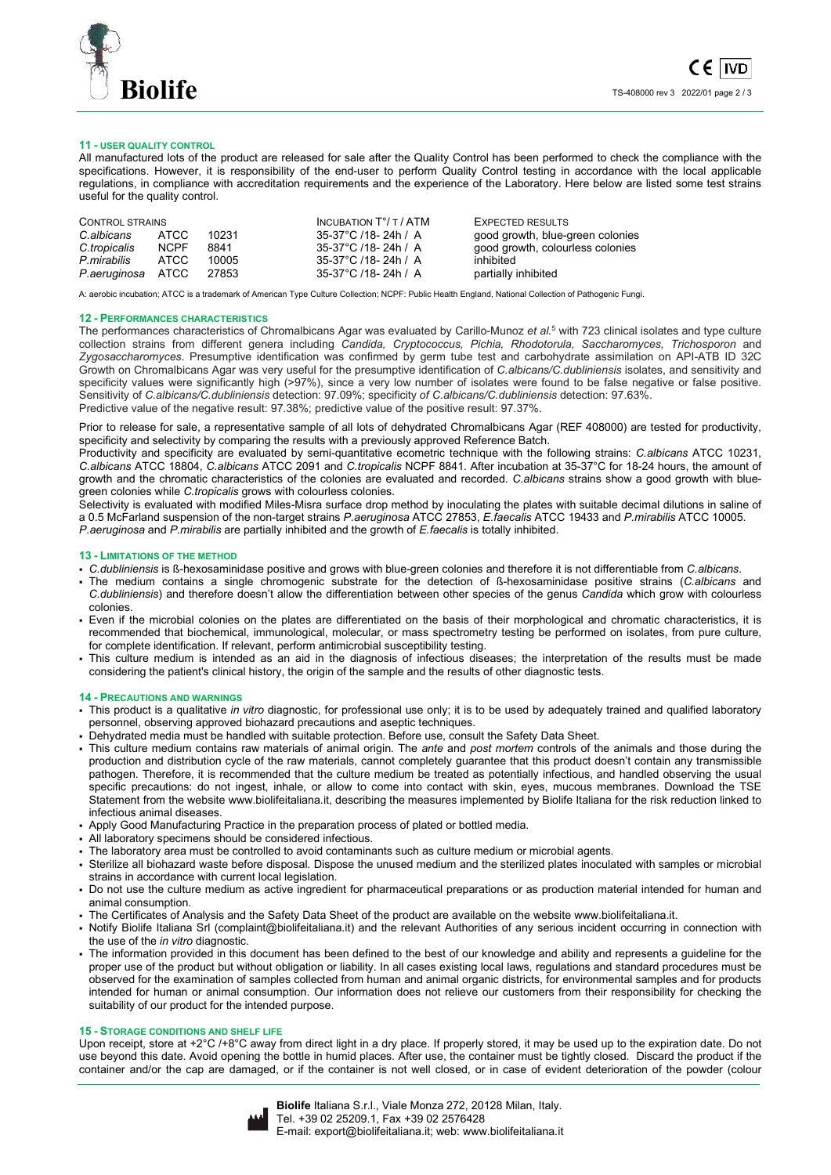

#### **11 - USER QUALITY CONTROL**

All manufactured lots of the product are released for sale after the Quality Control has been performed to check the compliance with the specifications. However, it is responsibility of the end-user to perform Quality Control testing in accordance with the local applicable regulations, in compliance with accreditation requirements and the experience of the Laboratory. Here below are listed some test strains useful for the quality control.

| CONTROL STRAINS   |             |       | INCUBATION $T^{\circ}/T$ / ATM | EXPECTED RESULTS                 |
|-------------------|-------------|-------|--------------------------------|----------------------------------|
| C.albicans        | ATCC        | 10231 | 35-37°C /18-24h / A            | good growth, blue-green colonies |
| C.tropicalis      | <b>NCPF</b> | 8841  | 35-37°C /18-24h / A            | good growth, colourless colonies |
| P.mirabilis       | ATCC.       | 10005 | 35-37°C /18-24h / A            | inhibited                        |
| P.aeruginosa ATCC |             | 27853 | 35-37°C /18-24h / A            | partially inhibited              |

A: aerobic incubation; ATCC is a trademark of American Type Culture Collection; NCPF: Public Health England, National Collection of Pathogenic Fungi.

#### **12 - PERFORMANCES CHARACTERISTICS**

The performances characteristics of Chromalbicans Agar was evaluated by Carillo-Munoz *et al.*<sup>5</sup> with 723 clinical isolates and type culture collection strains from different genera including *Candida, Cryptococcus, Pichia, Rhodotorula, Saccharomyces, Trichosporon* and *Zygosaccharomyces*. Presumptive identification was confirmed by germ tube test and carbohydrate assimilation on API-ATB ID 32C Growth on Chromalbicans Agar was very useful for the presumptive identification of *C.albicans/C.dubliniensis* isolates, and sensitivity and specificity values were significantly high (>97%), since a very low number of isolates were found to be false negative or false positive. Sensitivity of *C.albicans/C.dubliniensis* detection: 97.09%; specificity *of C.albicans/C.dubliniensis* detection: 97.63%. Predictive value of the negative result: 97.38%; predictive value of the positive result: 97.37%.

Prior to release for sale, a representative sample of all lots of dehydrated Chromalbicans Agar (REF 408000) are tested for productivity, specificity and selectivity by comparing the results with a previously approved Reference Batch.

Productivity and specificity are evaluated by semi-quantitative ecometric technique with the following strains: *C.albicans* ATCC 10231, *C.albicans* ATCC 18804, *C.albicans* ATCC 2091 and *C.tropicalis* NCPF 8841. After incubation at 35-37°C for 18-24 hours, the amount of growth and the chromatic characteristics of the colonies are evaluated and recorded. *C.albicans* strains show a good growth with bluegreen colonies while *C.tropicalis* grows with colourless colonies.

Selectivity is evaluated with modified Miles-Misra surface drop method by inoculating the plates with suitable decimal dilutions in saline of a 0.5 McFarland suspension of the non-target strains *P.aeruginosa* ATCC 27853, *E.faecalis* ATCC 19433 and *P.mirabilis* ATCC 10005. *P.aeruginosa* and *P.mirabilis* are partially inhibited and the growth of *E.faecalis* is totally inhibited.

#### **13 - LIMITATIONS OF THE METHOD**

- *C.dubliniensis* is ß-hexosaminidase positive and grows with blue-green colonies and therefore it is not differentiable from *C.albicans*.
- The medium contains a single chromogenic substrate for the detection of ß-hexosaminidase positive strains (*C.albicans* and *C.dubliniensis*) and therefore doesn't allow the differentiation between other species of the genus *Candida* which grow with colourless colonies.
- Even if the microbial colonies on the plates are differentiated on the basis of their morphological and chromatic characteristics, it is recommended that biochemical, immunological, molecular, or mass spectrometry testing be performed on isolates, from pure culture, for complete identification. If relevant, perform antimicrobial susceptibility testing.
- This culture medium is intended as an aid in the diagnosis of infectious diseases; the interpretation of the results must be made considering the patient's clinical history, the origin of the sample and the results of other diagnostic tests.

#### **14 - PRECAUTIONS AND WARNINGS**

- This product is a qualitative *in vitro* diagnostic, for professional use only; it is to be used by adequately trained and qualified laboratory personnel, observing approved biohazard precautions and aseptic techniques.
- Dehydrated media must be handled with suitable protection. Before use, consult the Safety Data Sheet.
- This culture medium contains raw materials of animal origin. The *ante* and *post mortem* controls of the animals and those during the production and distribution cycle of the raw materials, cannot completely guarantee that this product doesn't contain any transmissible pathogen. Therefore, it is recommended that the culture medium be treated as potentially infectious, and handled observing the usual specific precautions: do not ingest, inhale, or allow to come into contact with skin, eyes, mucous membranes. Download the TSE Statement from the website www.biolifeitaliana.it, describing the measures implemented by Biolife Italiana for the risk reduction linked to infectious animal diseases.
- Apply Good Manufacturing Practice in the preparation process of plated or bottled media.
- All laboratory specimens should be considered infectious.
- The laboratory area must be controlled to avoid contaminants such as culture medium or microbial agents.
- Sterilize all biohazard waste before disposal. Dispose the unused medium and the sterilized plates inoculated with samples or microbial strains in accordance with current local legislation.
- Do not use the culture medium as active ingredient for pharmaceutical preparations or as production material intended for human and animal consumption.
- The Certificates of Analysis and the Safety Data Sheet of the product are available on the website www.biolifeitaliana.it.
- Notify Biolife Italiana Srl (complaint@biolifeitaliana.it) and the relevant Authorities of any serious incident occurring in connection with the use of the *in vitro* diagnostic.
- The information provided in this document has been defined to the best of our knowledge and ability and represents a guideline for the proper use of the product but without obligation or liability. In all cases existing local laws, regulations and standard procedures must be observed for the examination of samples collected from human and animal organic districts, for environmental samples and for products intended for human or animal consumption. Our information does not relieve our customers from their responsibility for checking the suitability of our product for the intended purpose.

#### **15 - STORAGE CONDITIONS AND SHELF LIFE**

Upon receipt, store at +2°C /+8°C away from direct light in a dry place. If properly stored, it may be used up to the expiration date. Do not use beyond this date. Avoid opening the bottle in humid places. After use, the container must be tightly closed. Discard the product if the container and/or the cap are damaged, or if the container is not well closed, or in case of evident deterioration of the powder (colour